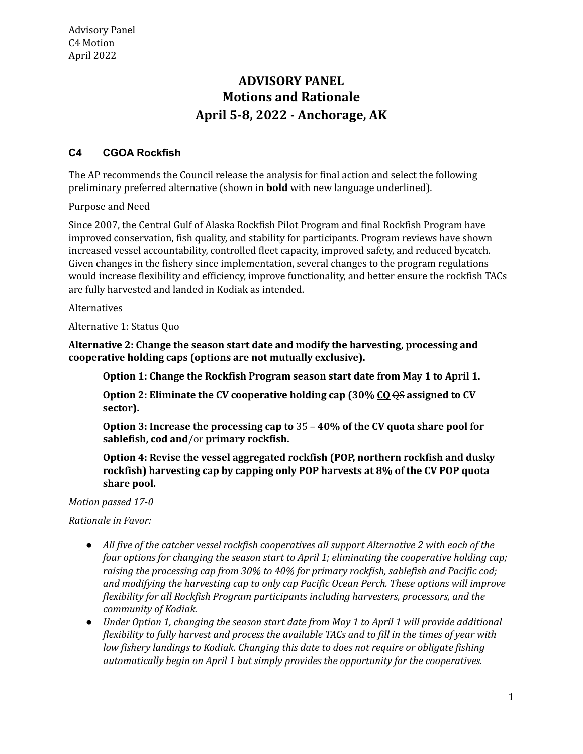## **Motions and Rationale April 5-8, 2022 - Anchorage, AK ADVISORY PANEL**

## **C4 CGOA Rockfish**

 The AP recommends the Council release the analysis for final action and select the following preliminary preferred alternative (shown in **bold** with new language underlined).

Purpose and Need

 Since 2007, the Central Gulf of Alaska Rockfish Pilot Program and final Rockfish Program have improved conservation, fish quality, and stability for participants. Program reviews have shown increased vessel accountability, controlled fleet capacity, improved safety, and reduced bycatch. Given changes in the fishery since implementation, several changes to the program regulations would increase flexibility and efficiency, improve functionality, and better ensure the rockfish TACs are fully harvested and landed in Kodiak as intended.

Alternatives

Alternative 1: Status Quo

 **Alternative 2: Change the season start date and modify the harvesting, processing and cooperative holding caps (options are not mutually exclusive).**

 **Option 1: Change the Rockfish Program season start date from May 1 to April 1.**

 **Option 2: Eliminate the CV cooperative holding cap (30% CQ** QS **assigned to CV sector).**

 **Option 3: Increase the processing cap to** 35 – **40% of the CV quota share pool for sablefish, cod and**/or **primary rockfish.**

 **Option 4: Revise the vessel aggregated rockfish (POP, northern rockfish and dusky rockfish) harvesting cap by capping only POP harvests at 8% of the CV POP quota share pool.**

 *Motion passed 17-0*

## *Rationale in Favor:*

- All five of the catcher vessel rockfish cooperatives all support Alternative 2 with each of the  *four options for changing the season start to April 1; eliminating the cooperative holding cap; raising the processing cap from 30% to 40% for primary rockfish, sablefish and Pacific cod; and modifying the harvesting cap to only cap Pacific Ocean Perch. These options will improve flexibility for all Rockfish Program participants including harvesters, processors, and the community of Kodiak.*
- Under Option 1, changing the season start date from May 1 to April 1 will provide additional flexibility to fully harvest and process the available TACs and to fill in the times of year with  *low fishery landings to Kodiak. Changing this date to does not require or obligate fishing automatically begin on April 1 but simply provides the opportunity for the cooperatives.*